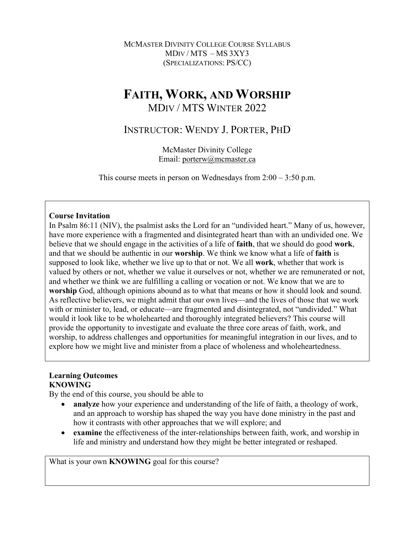MCMASTER DIVINITY COLLEGE COURSE SYLLABUS MDIV / MTS – MS 3XY3 (SPECIALIZATIONS: PS/CC)

# **FAITH, WORK, AND WORSHIP** MDIV / MTS WINTER 2022

## INSTRUCTOR: WENDY J. PORTER, PHD

McMaster Divinity College Email: porterw@mcmaster.ca

This course meets in person on Wednesdays from  $2:00 - 3:50$  p.m.

## **Course Invitation**

In Psalm 86:11 (NIV), the psalmist asks the Lord for an "undivided heart." Many of us, however, have more experience with a fragmented and disintegrated heart than with an undivided one. We believe that we should engage in the activities of a life of **faith**, that we should do good **work**, and that we should be authentic in our **worship**. We think we know what a life of **faith** is supposed to look like, whether we live up to that or not. We all **work**, whether that work is valued by others or not, whether we value it ourselves or not, whether we are remunerated or not, and whether we think we are fulfilling a calling or vocation or not. We know that we are to **worship** God, although opinions abound as to what that means or how it should look and sound. As reflective believers, we might admit that our own lives—and the lives of those that we work with or minister to, lead, or educate—are fragmented and disintegrated, not "undivided." What would it look like to be wholehearted and thoroughly integrated believers? This course will provide the opportunity to investigate and evaluate the three core areas of faith, work, and worship, to address challenges and opportunities for meaningful integration in our lives, and to explore how we might live and minister from a place of wholeness and wholeheartedness.

## **Learning Outcomes KNOWING**

By the end of this course, you should be able to

- **analyze** how your experience and understanding of the life of faith, a theology of work, and an approach to worship has shaped the way you have done ministry in the past and how it contrasts with other approaches that we will explore; and
- **examine** the effectiveness of the inter-relationships between faith, work, and worship in life and ministry and understand how they might be better integrated or reshaped.

What is your own **KNOWING** goal for this course?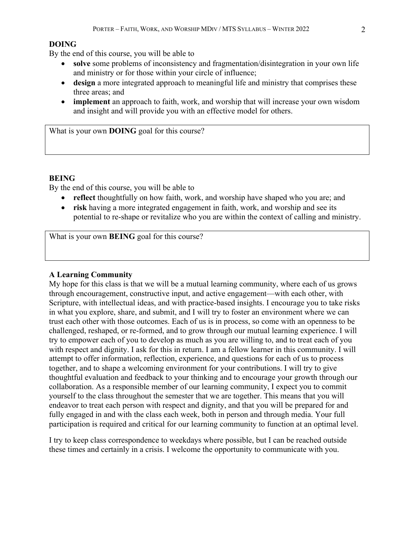## **DOING**

By the end of this course, you will be able to

- **solve** some problems of inconsistency and fragmentation/disintegration in your own life and ministry or for those within your circle of influence;
- **design** a more integrated approach to meaningful life and ministry that comprises these three areas; and
- **implement** an approach to faith, work, and worship that will increase your own wisdom and insight and will provide you with an effective model for others.

What is your own **DOING** goal for this course?

## **BEING**

By the end of this course, you will be able to

- **reflect** thoughtfully on how faith, work, and worship have shaped who you are; and
- **risk** having a more integrated engagement in faith, work, and worship and see its potential to re-shape or revitalize who you are within the context of calling and ministry.

What is your own **BEING** goal for this course?

#### **A Learning Community**

My hope for this class is that we will be a mutual learning community, where each of us grows through encouragement, constructive input, and active engagement—with each other, with Scripture, with intellectual ideas, and with practice-based insights. I encourage you to take risks in what you explore, share, and submit, and I will try to foster an environment where we can trust each other with those outcomes. Each of us is in process, so come with an openness to be challenged, reshaped, or re-formed, and to grow through our mutual learning experience. I will try to empower each of you to develop as much as you are willing to, and to treat each of you with respect and dignity. I ask for this in return. I am a fellow learner in this community. I will attempt to offer information, reflection, experience, and questions for each of us to process together, and to shape a welcoming environment for your contributions. I will try to give thoughtful evaluation and feedback to your thinking and to encourage your growth through our collaboration. As a responsible member of our learning community, I expect you to commit yourself to the class throughout the semester that we are together. This means that you will endeavor to treat each person with respect and dignity, and that you will be prepared for and fully engaged in and with the class each week, both in person and through media. Your full participation is required and critical for our learning community to function at an optimal level.

I try to keep class correspondence to weekdays where possible, but I can be reached outside these times and certainly in a crisis. I welcome the opportunity to communicate with you.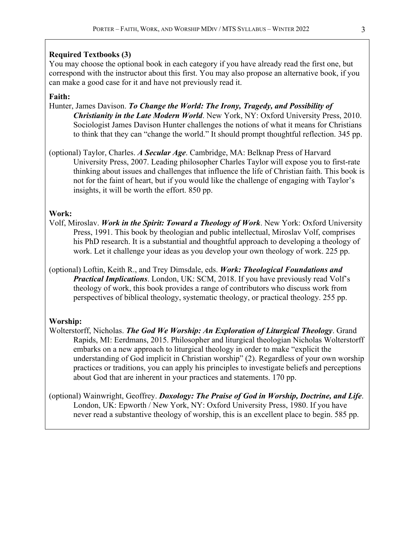#### **Required Textbooks (3)**

You may choose the optional book in each category if you have already read the first one, but correspond with the instructor about this first. You may also propose an alternative book, if you can make a good case for it and have not previously read it.

## **Faith:**

- Hunter, James Davison. *To Change the World: The Irony, Tragedy, and Possibility of Christianity in the Late Modern World*. New York, NY: Oxford University Press, 2010. Sociologist James Davison Hunter challenges the notions of what it means for Christians to think that they can "change the world." It should prompt thoughtful reflection. 345 pp.
- (optional) Taylor, Charles. *A Secular Age*. Cambridge, MA: Belknap Press of Harvard University Press, 2007. Leading philosopher Charles Taylor will expose you to first-rate thinking about issues and challenges that influence the life of Christian faith. This book is not for the faint of heart, but if you would like the challenge of engaging with Taylor's insights, it will be worth the effort. 850 pp.

#### **Work:**

- Volf, Miroslav. *Work in the Spirit: Toward a Theology of Work*. New York: Oxford University Press, 1991. This book by theologian and public intellectual, Miroslav Volf, comprises his PhD research. It is a substantial and thoughtful approach to developing a theology of work. Let it challenge your ideas as you develop your own theology of work. 225 pp.
- (optional) Loftin, Keith R., and Trey Dimsdale, eds. *Work: Theological Foundations and Practical Implications*. London, UK: SCM, 2018. If you have previously read Volf's theology of work, this book provides a range of contributors who discuss work from perspectives of biblical theology, systematic theology, or practical theology. 255 pp.

#### **Worship:**

- Wolterstorff, Nicholas. *The God We Worship: An Exploration of Liturgical Theology*. Grand Rapids, MI: Eerdmans, 2015. Philosopher and liturgical theologian Nicholas Wolterstorff embarks on a new approach to liturgical theology in order to make "explicit the understanding of God implicit in Christian worship" (2). Regardless of your own worship practices or traditions, you can apply his principles to investigate beliefs and perceptions about God that are inherent in your practices and statements. 170 pp.
- (optional) Wainwright, Geoffrey. *Doxology: The Praise of God in Worship, Doctrine, and Life*. London, UK: Epworth / New York, NY: Oxford University Press, 1980. If you have never read a substantive theology of worship, this is an excellent place to begin. 585 pp.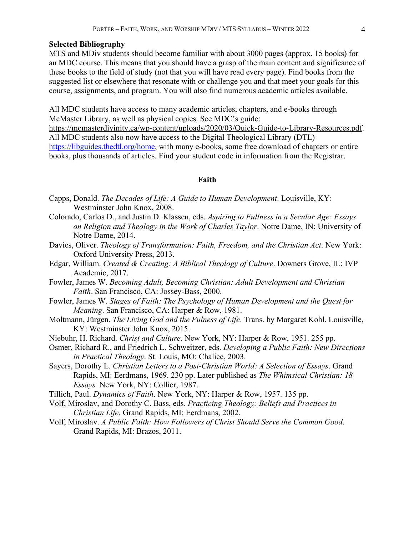## **Selected Bibliography**

MTS and MDiv students should become familiar with about 3000 pages (approx. 15 books) for an MDC course. This means that you should have a grasp of the main content and significance of these books to the field of study (not that you will have read every page). Find books from the suggested list or elsewhere that resonate with or challenge you and that meet your goals for this course, assignments, and program. You will also find numerous academic articles available.

All MDC students have access to many academic articles, chapters, and e-books through McMaster Library, as well as physical copies. See MDC's guide: https://mcmasterdivinity.ca/wp-content/uploads/2020/03/Quick-Guide-to-Library-Resources.pdf.

All MDC students also now have access to the Digital Theological Library (DTL) https://libguides.thedtl.org/home, with many e-books, some free download of chapters or entire books, plus thousands of articles. Find your student code in information from the Registrar.

## **Faith**

- Capps, Donald. *The Decades of Life: A Guide to Human Development*. Louisville, KY: Westminster John Knox, 2008.
- Colorado, Carlos D., and Justin D. Klassen, eds. *Aspiring to Fullness in a Secular Age: Essays on Religion and Theology in the Work of Charles Taylor*. Notre Dame, IN: University of Notre Dame, 2014.
- Davies, Oliver. *Theology of Transformation: Faith, Freedom, and the Christian Act*. New York: Oxford University Press, 2013.
- Edgar, William. *Created & Creating: A Biblical Theology of Culture*. Downers Grove, IL: IVP Academic, 2017.
- Fowler, James W. *Becoming Adult, Becoming Christian: Adult Development and Christian Faith*. San Francisco, CA: Jossey-Bass, 2000.
- Fowler, James W. *Stages of Faith: The Psychology of Human Development and the Quest for Meaning*. San Francisco, CA: Harper & Row, 1981.
- Moltmann, Jürgen. *The Living God and the Fulness of Life*. Trans. by Margaret Kohl. Louisville, KY: Westminster John Knox, 2015.
- Niebuhr, H. Richard. *Christ and Culture*. New York, NY: Harper & Row, 1951. 255 pp.
- Osmer, Richard R., and Friedrich L. Schweitzer, eds. *Developing a Public Faith: New Directions in Practical Theology*. St. Louis, MO: Chalice, 2003.
- Sayers, Dorothy L. *Christian Letters to a Post-Christian World: A Selection of Essays*. Grand Rapids, MI: Eerdmans, 1969. 230 pp. Later published as *The Whimsical Christian: 18 Essays.* New York, NY: Collier, 1987.
- Tillich, Paul. *Dynamics of Faith*. New York, NY: Harper & Row, 1957. 135 pp.
- Volf, Miroslav, and Dorothy C. Bass, eds. *Practicing Theology: Beliefs and Practices in Christian Life*. Grand Rapids, MI: Eerdmans, 2002.
- Volf, Miroslav. *A Public Faith: How Followers of Christ Should Serve the Common Good*. Grand Rapids, MI: Brazos, 2011.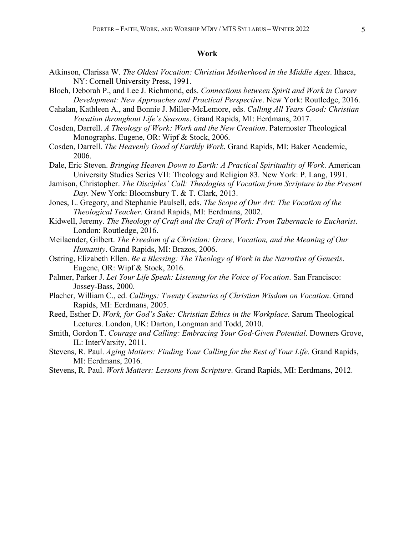#### **Work**

- Atkinson, Clarissa W. *The Oldest Vocation: Christian Motherhood in the Middle Ages*. Ithaca, NY: Cornell University Press, 1991.
- Bloch, Deborah P., and Lee J. Richmond, eds. *Connections between Spirit and Work in Career Development: New Approaches and Practical Perspective*. New York: Routledge, 2016.
- Cahalan, Kathleen A., and Bonnie J. Miller-McLemore, eds. *Calling All Years Good: Christian Vocation throughout Life's Seasons*. Grand Rapids, MI: Eerdmans, 2017.
- Cosden, Darrell. *A Theology of Work: Work and the New Creation*. Paternoster Theological Monographs. Eugene, OR: Wipf & Stock, 2006.
- Cosden, Darrell. *The Heavenly Good of Earthly Work*. Grand Rapids, MI: Baker Academic, 2006.
- Dale, Eric Steven. *Bringing Heaven Down to Earth: A Practical Spirituality of Work*. American University Studies Series VII: Theology and Religion 83. New York: P. Lang, 1991.
- Jamison, Christopher. *The Disciples' Call: Theologies of Vocation from Scripture to the Present Day*. New York: Bloomsbury T. & T. Clark, 2013.
- Jones, L. Gregory, and Stephanie Paulsell, eds. *The Scope of Our Art: The Vocation of the Theological Teacher*. Grand Rapids, MI: Eerdmans, 2002.
- Kidwell, Jeremy. *The Theology of Craft and the Craft of Work: From Tabernacle to Eucharist*. London: Routledge, 2016.
- Meilaender, Gilbert. *The Freedom of a Christian: Grace, Vocation, and the Meaning of Our Humanity*. Grand Rapids, MI: Brazos, 2006.
- Ostring, Elizabeth Ellen. *Be a Blessing: The Theology of Work in the Narrative of Genesis*. Eugene, OR: Wipf & Stock, 2016.
- Palmer, Parker J. *Let Your Life Speak: Listening for the Voice of Vocation*. San Francisco: Jossey-Bass, 2000.
- Placher, William C., ed. *Callings: Twenty Centuries of Christian Wisdom on Vocation*. Grand Rapids, MI: Eerdmans, 2005.
- Reed, Esther D. *Work, for God's Sake: Christian Ethics in the Workplace*. Sarum Theological Lectures. London, UK: Darton, Longman and Todd, 2010.
- Smith, Gordon T. *Courage and Calling: Embracing Your God-Given Potential*. Downers Grove, IL: InterVarsity, 2011.
- Stevens, R. Paul. *Aging Matters: Finding Your Calling for the Rest of Your Life*. Grand Rapids, MI: Eerdmans, 2016.
- Stevens, R. Paul. *Work Matters: Lessons from Scripture*. Grand Rapids, MI: Eerdmans, 2012.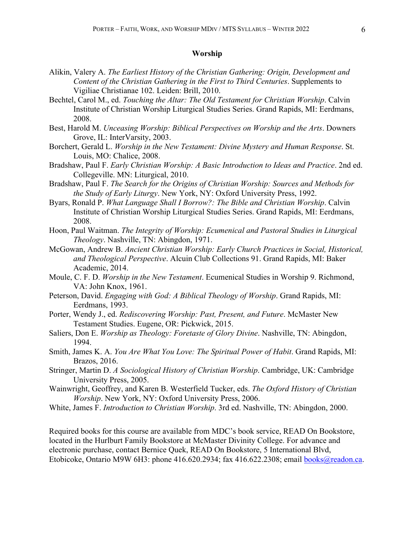## **Worship**

- Alikin, Valery A. *The Earliest History of the Christian Gathering: Origin, Development and Content of the Christian Gathering in the First to Third Centuries*. Supplements to Vigiliae Christianae 102. Leiden: Brill, 2010.
- Bechtel, Carol M., ed. *Touching the Altar: The Old Testament for Christian Worship*. Calvin Institute of Christian Worship Liturgical Studies Series. Grand Rapids, MI: Eerdmans, 2008.
- Best, Harold M. *Unceasing Worship: Biblical Perspectives on Worship and the Arts*. Downers Grove, IL: InterVarsity, 2003.
- Borchert, Gerald L. *Worship in the New Testament: Divine Mystery and Human Response*. St. Louis, MO: Chalice, 2008.
- Bradshaw, Paul F. *Early Christian Worship: A Basic Introduction to Ideas and Practice*. 2nd ed. Collegeville. MN: Liturgical, 2010.
- Bradshaw, Paul F. *The Search for the Origins of Christian Worship: Sources and Methods for the Study of Early Liturgy*. New York, NY: Oxford University Press, 1992.
- Byars, Ronald P. *What Language Shall I Borrow?: The Bible and Christian Worship*. Calvin Institute of Christian Worship Liturgical Studies Series. Grand Rapids, MI: Eerdmans, 2008.
- Hoon, Paul Waitman. *The Integrity of Worship: Ecumenical and Pastoral Studies in Liturgical Theology*. Nashville, TN: Abingdon, 1971.
- McGowan, Andrew B. *Ancient Christian Worship: Early Church Practices in Social, Historical, and Theological Perspective*. Alcuin Club Collections 91. Grand Rapids, MI: Baker Academic, 2014.
- Moule, C. F. D. *Worship in the New Testament*. Ecumenical Studies in Worship 9. Richmond, VA: John Knox, 1961.
- Peterson, David. *Engaging with God: A Biblical Theology of Worship*. Grand Rapids, MI: Eerdmans, 1993.
- Porter, Wendy J., ed. *Rediscovering Worship: Past, Present, and Future*. McMaster New Testament Studies. Eugene, OR: Pickwick, 2015.
- Saliers, Don E. *Worship as Theology: Foretaste of Glory Divine*. Nashville, TN: Abingdon, 1994.
- Smith, James K. A. *You Are What You Love: The Spiritual Power of Habit*. Grand Rapids, MI: Brazos, 2016.
- Stringer, Martin D. *A Sociological History of Christian Worship*. Cambridge, UK: Cambridge University Press, 2005.
- Wainwright, Geoffrey, and Karen B. Westerfield Tucker, eds. *The Oxford History of Christian Worship*. New York, NY: Oxford University Press, 2006.
- White, James F. *Introduction to Christian Worship*. 3rd ed. Nashville, TN: Abingdon, 2000.

Required books for this course are available from MDC's book service, READ On Bookstore, located in the Hurlburt Family Bookstore at McMaster Divinity College. For advance and electronic purchase, contact Bernice Quek, READ On Bookstore, 5 International Blvd, Etobicoke, Ontario M9W 6H3: phone 416.620.2934; fax 416.622.2308; email books@readon.ca.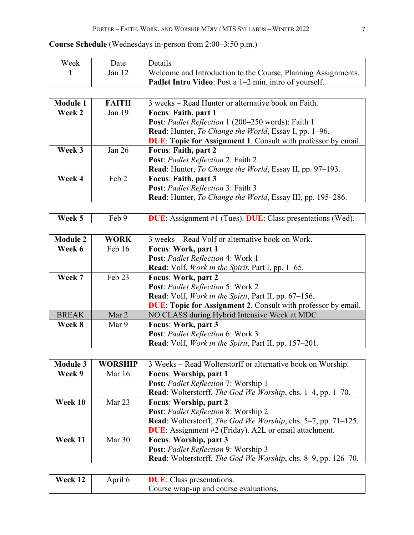## **Course Schedule** (Wednesdays in-person from 2:00–3:50 p.m.)

| Week | Date   | Details                                                       |
|------|--------|---------------------------------------------------------------|
|      | Jan 12 | Welcome and Introduction to the Course, Planning Assignments. |
|      |        | <b>Padlet Intro Video:</b> Post a 1–2 min. intro of yourself. |

| <b>Module 1</b> | <b>FAITH</b> | 3 weeks – Read Hunter or alternative book on Faith.                  |  |
|-----------------|--------------|----------------------------------------------------------------------|--|
| Week 2          | Jan $19$     | <b>Focus: Faith, part 1</b>                                          |  |
|                 |              | Post: Padlet Reflection 1 (200-250 words): Faith 1                   |  |
|                 |              | Read: Hunter, To Change the World, Essay I, pp. 1-96.                |  |
|                 |              | <b>DUE:</b> Topic for Assignment 1. Consult with professor by email. |  |
| Week 3          | Jan $26$     | <b>Focus: Faith, part 2</b>                                          |  |
|                 |              | Post: Padlet Reflection 2: Faith 2                                   |  |
|                 |              | Read: Hunter, To Change the World, Essay II, pp. 97–193.             |  |
| Week 4          | Feb 2        | Focus: Faith, part 3                                                 |  |
|                 |              | Post: Padlet Reflection 3: Faith 3                                   |  |
|                 |              | Read: Hunter, To Change the World, Essay III, pp. 195–286.           |  |

| Week $5 \parallel$ | Feb 9 | <b>DUE:</b> Assignment #1 (Tues). DUE: Class presentations (Wed). |  |  |
|--------------------|-------|-------------------------------------------------------------------|--|--|
|--------------------|-------|-------------------------------------------------------------------|--|--|

| <b>Module 2</b> | <b>WORK</b> | 3 weeks – Read Volf or alternative book on Work.                     |  |
|-----------------|-------------|----------------------------------------------------------------------|--|
| Week 6          | Feb 16      | Focus: Work, part 1                                                  |  |
|                 |             | Post: Padlet Reflection 4: Work 1                                    |  |
|                 |             | Read: Volf, <i>Work in the Spirit</i> , Part I, pp. 1–65.            |  |
| Week 7          | Feb 23      | Focus: Work, part 2                                                  |  |
|                 |             | Post: Padlet Reflection 5: Work 2                                    |  |
|                 |             | Read: Volf, <i>Work in the Spirit</i> , Part II, pp. 67–156.         |  |
|                 |             | <b>DUE:</b> Topic for Assignment 2. Consult with professor by email. |  |
| <b>BREAK</b>    | Mar 2       | NO CLASS during Hybrid Intensive Week at MDC                         |  |
| Week 8          | Mar 9       | Focus: Work, part 3                                                  |  |
|                 |             | Post: Padlet Reflection 6: Work 3                                    |  |
|                 |             | Read: Volf, <i>Work in the Spirit</i> , Part II, pp. 157–201.        |  |

| <b>Module 3</b> | <b>WORSHIP</b> | 3 Weeks – Read Wolterstorff or alternative book on Worship.                |  |
|-----------------|----------------|----------------------------------------------------------------------------|--|
| Week 9          | Mar 16         | Focus: Worship, part 1                                                     |  |
|                 |                | Post: Padlet Reflection 7: Worship 1                                       |  |
|                 |                | <b>Read:</b> Wolterstorff, <i>The God We Worship</i> , chs. 1–4, pp. 1–70. |  |
| Week 10         | Mar $23$       | Focus: Worship, part 2                                                     |  |
|                 |                | Post: Padlet Reflection 8: Worship 2                                       |  |
|                 |                | Read: Wolterstorff, The God We Worship, chs. 5–7, pp. 71–125.              |  |
|                 |                | <b>DUE</b> : Assignment #2 (Friday). A2L or email attachment.              |  |
| Week 11         | Mar $30$       | Focus: Worship, part 3                                                     |  |
|                 |                | Post: Padlet Reflection 9: Worship 3                                       |  |
|                 |                | Read: Wolterstorff, The God We Worship, chs. 8–9, pp. 126–70.              |  |

| Week 12 | Aprıl 6 | <b>DUE:</b> Class presentations.       |
|---------|---------|----------------------------------------|
|         |         | Course wrap-up and course evaluations. |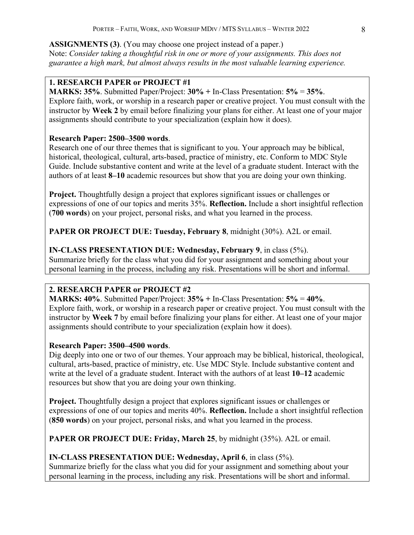**ASSIGNMENTS (3)**. (You may choose one project instead of a paper.) Note: *Consider taking a thoughtful risk in one or more of your assignments. This does not guarantee a high mark, but almost always results in the most valuable learning experience.* 

## **1. RESEARCH PAPER or PROJECT #1**

**MARKS: 35%**. Submitted Paper/Project: **30% +** In-Class Presentation: **5%** = **35%**. Explore faith, work, or worship in a research paper or creative project. You must consult with the instructor by **Week 2** by email before finalizing your plans for either. At least one of your major assignments should contribute to your specialization (explain how it does).

## **Research Paper: 2500–3500 words**.

Research one of our three themes that is significant to you. Your approach may be biblical, historical, theological, cultural, arts-based, practice of ministry, etc. Conform to MDC Style Guide. Include substantive content and write at the level of a graduate student. Interact with the authors of at least **8–10** academic resources but show that you are doing your own thinking.

**Project.** Thoughtfully design a project that explores significant issues or challenges or expressions of one of our topics and merits 35%. **Reflection.** Include a short insightful reflection (**700 words**) on your project, personal risks, and what you learned in the process.

**PAPER OR PROJECT DUE: Tuesday, February 8**, midnight (30%). A2L or email.

## **IN-CLASS PRESENTATION DUE: Wednesday, February 9**, in class (5%).

Summarize briefly for the class what you did for your assignment and something about your personal learning in the process, including any risk. Presentations will be short and informal.

## **2. RESEARCH PAPER or PROJECT #2**

**MARKS: 40%**. Submitted Paper/Project: **35% +** In-Class Presentation: **5%** = **40%**. Explore faith, work, or worship in a research paper or creative project. You must consult with the instructor by **Week 7** by email before finalizing your plans for either. At least one of your major assignments should contribute to your specialization (explain how it does).

## **Research Paper: 3500–4500 words**.

Dig deeply into one or two of our themes. Your approach may be biblical, historical, theological, cultural, arts-based, practice of ministry, etc. Use MDC Style. Include substantive content and write at the level of a graduate student. Interact with the authors of at least **10–12** academic resources but show that you are doing your own thinking.

**Project.** Thoughtfully design a project that explores significant issues or challenges or expressions of one of our topics and merits 40%. **Reflection.** Include a short insightful reflection (**850 words**) on your project, personal risks, and what you learned in the process.

**PAPER OR PROJECT DUE: Friday, March 25**, by midnight (35%). A2L or email.

## **IN-CLASS PRESENTATION DUE: Wednesday, April 6**, in class (5%).

Summarize briefly for the class what you did for your assignment and something about your personal learning in the process, including any risk. Presentations will be short and informal.